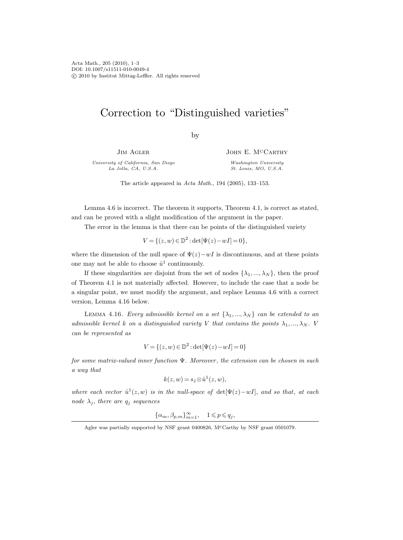Acta Math., 205 (2010), 1–3 DOI: 10.1007/s11511-010-0049-4 c 2010 by Institut Mittag-Leffler. All rights reserved

## Correction to "Distinguished varieties"

by

JIM AGLER

University of California, San Diego La Jolla, CA, U.S.A.

JOHN E. M<sup>C</sup>CARTHY Washington University St. Louis, MO, U.S.A.

The article appeared in Acta Math., 194 (2005), 133–153.

Lemma 4.6 is incorrect. The theorem it supports, Theorem 4.1, is correct as stated, and can be proved with a slight modification of the argument in the paper.

The error in the lemma is that there can be points of the distinguished variety

$$
V = \{ (z, w) \in \mathbb{D}^2 : \det[\Psi(z) - wI] = 0 \},\
$$

where the dimension of the null space of  $\Psi(z)-wI$  is discontinuous, and at these points one may not be able to choose  $\hat{u}^1$  continuously.

If these singularities are disjoint from the set of nodes  $\{\lambda_1, ..., \lambda_N\}$ , then the proof of Theorem 4.1 is not materially affected. However, to include the case that a node be a singular point, we must modify the argument, and replace Lemma 4.6 with a correct version, Lemma 4.16 below.

LEMMA 4.16. Every admissible kernel on a set  $\{\lambda_1, ..., \lambda_N\}$  can be extended to an admissible kernel k on a distinguished variety V that contains the points  $\lambda_1, ..., \lambda_N$ . V can be represented as

$$
V = \{(z, w) \in \mathbb{D}^2 : \det[\Psi(z) - wI] = 0\}
$$

for some matrix-valued inner function Ψ. Moreover , the extension can be chosen in such a way that

$$
k(z, w) = s_{\bar{z}} \otimes \hat{u}^1(z, w),
$$

where each vector  $\hat{u}^1(z,w)$  is in the null-space of  $\det[\Psi(z)-wI]$ , and so that, at each node  $\lambda_j$ , there are  $q_j$  sequences

 $\{\alpha_m, \beta_{p,m}\}_{m=1}^{\infty}$ ,  $1 \leqslant p \leqslant q_j$ ,

Agler was partially supported by NSF grant 0400826, McCarthy by NSF grant 0501079.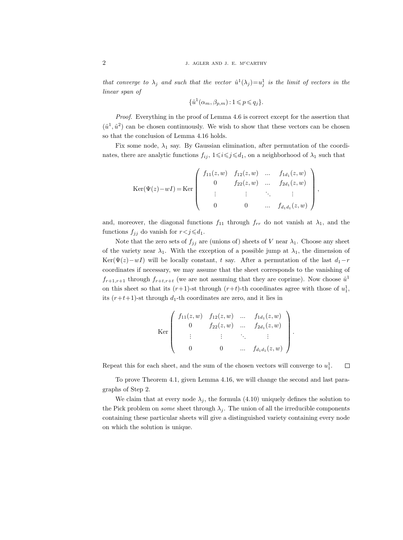that converge to  $\lambda_j$  and such that the vector  $\hat{u}^1(\lambda_j)=u_j^1$  is the limit of vectors in the linear span of

$$
\{\hat{u}^1(\alpha_m, \beta_{p,m}) : 1 \leqslant p \leqslant q_j\}.
$$

Proof. Everything in the proof of Lemma 4.6 is correct except for the assertion that  $(\hat{u}^1, \hat{u}^2)$  can be chosen continuously. We wish to show that these vectors can be chosen so that the conclusion of Lemma 4.16 holds.

Fix some node,  $\lambda_1$  say. By Gaussian elimination, after permutation of the coordinates, there are analytic functions  $f_{ij}$ ,  $1 \leq i \leq j \leq d_1$ , on a neighborhood of  $\lambda_1$  such that

$$
\text{Ker}(\Psi(z) - wI) = \text{Ker}\begin{pmatrix} f_{11}(z,w) & f_{12}(z,w) & \dots & f_{1d_1}(z,w) \\ 0 & f_{22}(z,w) & \dots & f_{2d_1}(z,w) \\ \vdots & \vdots & \ddots & \vdots \\ 0 & 0 & \dots & f_{d_1d_1}(z,w) \end{pmatrix},
$$

and, moreover, the diagonal functions  $f_{11}$  through  $f_{rr}$  do not vanish at  $\lambda_1$ , and the functions  $f_{jj}$  do vanish for  $r < j \le d_1$ .

Note that the zero sets of  $f_{jj}$  are (unions of) sheets of V near  $\lambda_1$ . Choose any sheet of the variety near  $\lambda_1$ . With the exception of a possible jump at  $\lambda_1$ , the dimension of Ker( $\Psi(z)-wI$ ) will be locally constant, t say. After a permutation of the last  $d_1-r$ coordinates if necessary, we may assume that the sheet corresponds to the vanishing of  $f_{r+1,r+1}$  through  $f_{r+t,r+t}$  (we are not assuming that they are coprime). Now choose  $\hat{u}^1$ on this sheet so that its  $(r+1)$ -st through  $(r+t)$ -th coordinates agree with those of  $u_1^1$ , its  $(r+t+1)$ -st through  $d_1$ -th coordinates are zero, and it lies in

$$
\text{Ker}\left(\begin{array}{cccc} f_{11}(z,w) & f_{12}(z,w) & \dots & f_{1d_1}(z,w) \\ 0 & f_{22}(z,w) & \dots & f_{2d_1}(z,w) \\ \vdots & \vdots & \ddots & \vdots \\ 0 & 0 & \dots & f_{d_1d_1}(z,w) \end{array}\right).
$$

Repeat this for each sheet, and the sum of the chosen vectors will converge to  $u_1^1$ .  $\Box$ 

To prove Theorem 4.1, given Lemma 4.16, we will change the second and last paragraphs of Step 2.

We claim that at every node  $\lambda_j$ , the formula (4.10) uniquely defines the solution to the Pick problem on *some* sheet through  $\lambda_j$ . The union of all the irreducible components containing these particular sheets will give a distinguished variety containing every node on which the solution is unique.